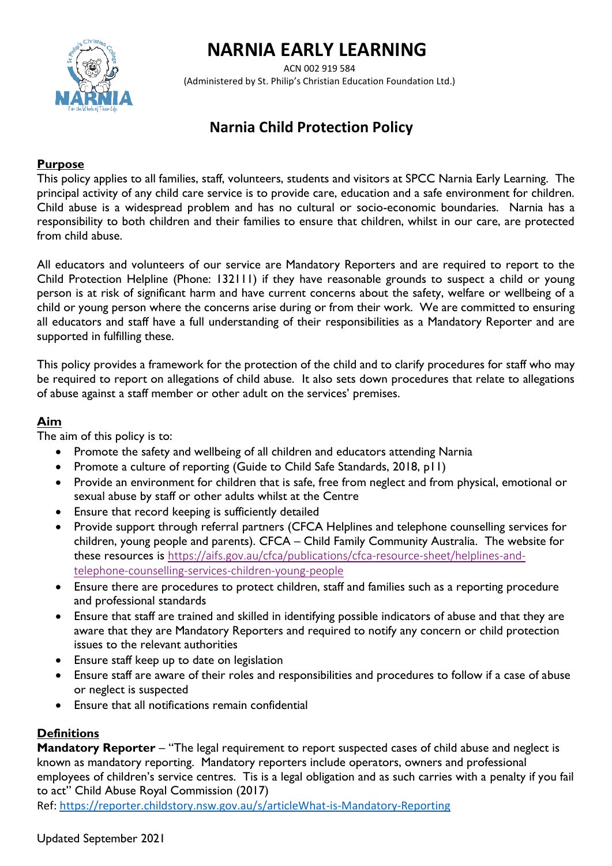# **NARNIA EARLY LEARNING**



 ACN 002 919 584 (Administered by St. Philip's Christian Education Foundation Ltd.)

# **Narnia Child Protection Policy**

# **Purpose**

This policy applies to all families, staff, volunteers, students and visitors at SPCC Narnia Early Learning. The principal activity of any child care service is to provide care, education and a safe environment for children. Child abuse is a widespread problem and has no cultural or socio-economic boundaries. Narnia has a responsibility to both children and their families to ensure that children, whilst in our care, are protected from child abuse.

All educators and volunteers of our service are Mandatory Reporters and are required to report to the Child Protection Helpline (Phone: 132111) if they have reasonable grounds to suspect a child or young person is at risk of significant harm and have current concerns about the safety, welfare or wellbeing of a child or young person where the concerns arise during or from their work. We are committed to ensuring all educators and staff have a full understanding of their responsibilities as a Mandatory Reporter and are supported in fulfilling these.

This policy provides a framework for the protection of the child and to clarify procedures for staff who may be required to report on allegations of child abuse. It also sets down procedures that relate to allegations of abuse against a staff member or other adult on the services' premises.

# **Aim**

The aim of this policy is to:

- Promote the safety and wellbeing of all children and educators attending Narnia
- Promote a culture of reporting (Guide to Child Safe Standards, 2018, p11)
- Provide an environment for children that is safe, free from neglect and from physical, emotional or sexual abuse by staff or other adults whilst at the Centre
- Ensure that record keeping is sufficiently detailed
- Provide support through referral partners (CFCA Helplines and telephone counselling services for children, young people and parents). CFCA – Child Family Community Australia. The website for these resources is [https://aifs.gov.au/cfca/publications/cfca-resource-sheet/helplines-and](https://aifs.gov.au/cfca/publications/cfca-resource-sheet/helplines-and-telephone-counselling-services-children-young-people)[telephone-counselling-services-children-young-people](https://aifs.gov.au/cfca/publications/cfca-resource-sheet/helplines-and-telephone-counselling-services-children-young-people)
- Ensure there are procedures to protect children, staff and families such as a reporting procedure and professional standards
- Ensure that staff are trained and skilled in identifying possible indicators of abuse and that they are aware that they are Mandatory Reporters and required to notify any concern or child protection issues to the relevant authorities
- Ensure staff keep up to date on legislation
- Ensure staff are aware of their roles and responsibilities and procedures to follow if a case of abuse or neglect is suspected
- Ensure that all notifications remain confidential

# **Definitions**

**Mandatory Reporter** – "The legal requirement to report suspected cases of child abuse and neglect is known as mandatory reporting. Mandatory reporters include operators, owners and professional employees of children's service centres. Tis is a legal obligation and as such carries with a penalty if you fail to act" Child Abuse Royal Commission (2017)

Ref:<https://reporter.childstory.nsw.gov.au/s/articleWhat-is-Mandatory-Reporting>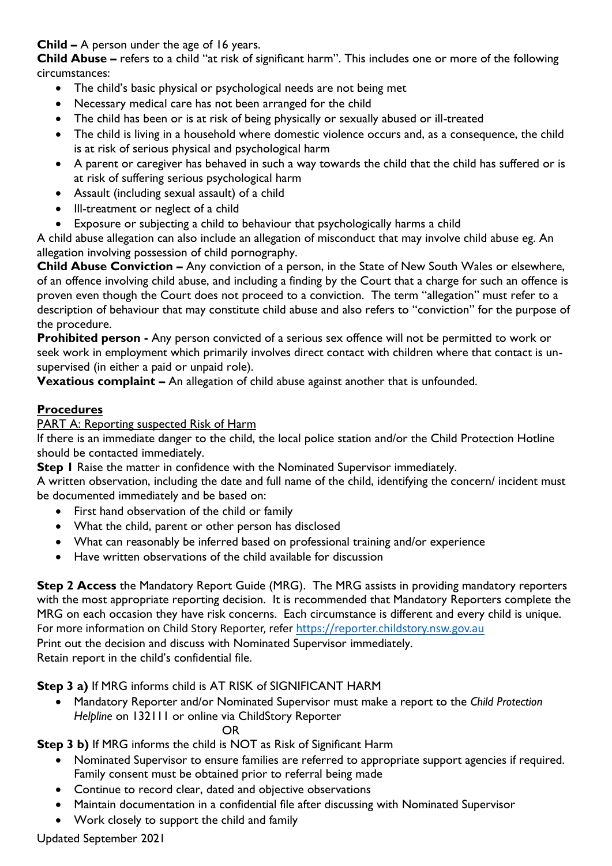**Child –** A person under the age of 16 years.

**Child Abuse –** refers to a child "at risk of significant harm". This includes one or more of the following circumstances:

- The child's basic physical or psychological needs are not being met
- Necessary medical care has not been arranged for the child
- The child has been or is at risk of being physically or sexually abused or ill-treated
- The child is living in a household where domestic violence occurs and, as a consequence, the child is at risk of serious physical and psychological harm
- A parent or caregiver has behaved in such a way towards the child that the child has suffered or is at risk of suffering serious psychological harm
- Assault (including sexual assault) of a child
- Ill-treatment or neglect of a child
- Exposure or subjecting a child to behaviour that psychologically harms a child

A child abuse allegation can also include an allegation of misconduct that may involve child abuse eg. An allegation involving possession of child pornography.

**Child Abuse Conviction –** Any conviction of a person, in the State of New South Wales or elsewhere, of an offence involving child abuse, and including a finding by the Court that a charge for such an offence is proven even though the Court does not proceed to a conviction. The term "allegation" must refer to a description of behaviour that may constitute child abuse and also refers to "conviction" for the purpose of the procedure.

**Prohibited person -** Any person convicted of a serious sex offence will not be permitted to work or seek work in employment which primarily involves direct contact with children where that contact is unsupervised (in either a paid or unpaid role).

**Vexatious complaint –** An allegation of child abuse against another that is unfounded.

# **Procedures**

# PART A: Reporting suspected Risk of Harm

If there is an immediate danger to the child, the local police station and/or the Child Protection Hotline should be contacted immediately.

**Step I** Raise the matter in confidence with the Nominated Supervisor immediately.

A written observation, including the date and full name of the child, identifying the concern/ incident must be documented immediately and be based on:

- First hand observation of the child or family
- What the child, parent or other person has disclosed
- What can reasonably be inferred based on professional training and/or experience
- Have written observations of the child available for discussion

**Step 2 Access** the Mandatory Report Guide (MRG). The MRG assists in providing mandatory reporters with the most appropriate reporting decision. It is recommended that Mandatory Reporters complete the MRG on each occasion they have risk concerns. Each circumstance is different and every child is unique. For more information on Child Story Reporter, refer [https://reporter.childstory.nsw.gov.au](https://reporter.childstory.nsw.gov.au/) Print out the decision and discuss with Nominated Supervisor immediately. Retain report in the child's confidential file.

# **Step 3 a)** If MRG informs child is AT RISK of SIGNIFICANT HARM

• Mandatory Reporter and/or Nominated Supervisor must make a report to the *Child Protection Helpline* on 132111 or online via ChildStory Reporter

OR

**Step 3 b)** If MRG informs the child is NOT as Risk of Significant Harm

- Nominated Supervisor to ensure families are referred to appropriate support agencies if required. Family consent must be obtained prior to referral being made
- Continue to record clear, dated and objective observations
- Maintain documentation in a confidential file after discussing with Nominated Supervisor
- Work closely to support the child and family

# Updated September 2021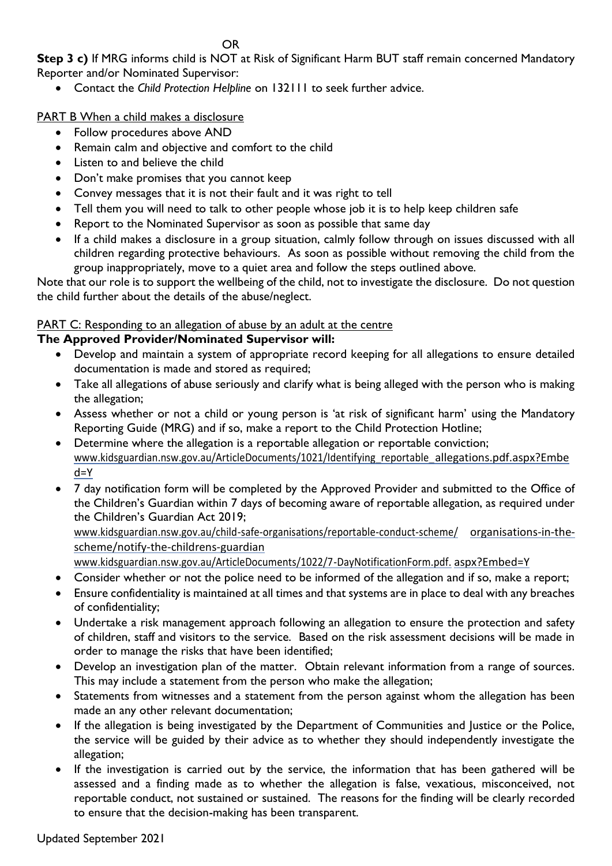OR

**Step 3 c)** If MRG informs child is NOT at Risk of Significant Harm BUT staff remain concerned Mandatory Reporter and/or Nominated Supervisor:

• Contact the *Child Protection Helpline* on 132111 to seek further advice.

PART B When a child makes a disclosure

- Follow procedures above AND
- Remain calm and objective and comfort to the child
- Listen to and believe the child
- Don't make promises that you cannot keep
- Convey messages that it is not their fault and it was right to tell
- Tell them you will need to talk to other people whose job it is to help keep children safe
- Report to the Nominated Supervisor as soon as possible that same day
- If a child makes a disclosure in a group situation, calmly follow through on issues discussed with all children regarding protective behaviours. As soon as possible without removing the child from the group inappropriately, move to a quiet area and follow the steps outlined above.

Note that our role is to support the wellbeing of the child, not to investigate the disclosure. Do not question the child further about the details of the abuse/neglect.

# PART C: Responding to an allegation of abuse by an adult at the centre

# **The Approved Provider/Nominated Supervisor will:**

- Develop and maintain a system of appropriate record keeping for all allegations to ensure detailed documentation is made and stored as required;
- Take all allegations of abuse seriously and clarify what is being alleged with the person who is making the allegation;
- Assess whether or not a child or young person is 'at risk of significant harm' using the Mandatory Reporting Guide (MRG) and if so, make a report to the Child Protection Hotline;
- Determine where the allegation is a reportable allegation or reportable conviction; [www.kidsguardian.nsw.gov.au/ArticleDocuments/1021/Identifying\\_reportable\\_allegations.pdf.aspx?Embe](https://www.kidsguardian.nsw.gov.au/ArticleDocuments/1021/Identifying_reportable_allegations.pdf.aspx?Embed=Y) [d=Y](https://www.kidsguardian.nsw.gov.au/ArticleDocuments/1021/Identifying_reportable_allegations.pdf.aspx?Embed=Y)
- 7 day notification form will be completed by the Approved Provider and submitted to the Office of the Children's Guardian within 7 days of becoming aware of reportable allegation, as required under the Children's Guardian Act 2019;

[www.kidsguardian.nsw.gov.au/child-safe-organisations/reportable-conduct-scheme/](https://www.kidsguardian.nsw.gov.au/child-safe-organisations/reportable-conduct-scheme/organisations-in-the-scheme/notify-the-childrens-guardian) [organisations-in-the](https://www.kidsguardian.nsw.gov.au/child-safe-organisations/reportable-conduct-scheme/organisations-in-the-scheme/notify-the-childrens-guardian)[scheme/notify-the-childrens-guardian](https://www.kidsguardian.nsw.gov.au/child-safe-organisations/reportable-conduct-scheme/organisations-in-the-scheme/notify-the-childrens-guardian)

[www.kidsguardian.nsw.gov.au/ArticleDocuments/1022/7-DayNotificationForm.pdf.](https://www.kidsguardian.nsw.gov.au/ArticleDocuments/1022/7-DayNotificationForm.pdf.aspx?Embed=Y) [aspx?Embed=Y](https://www.kidsguardian.nsw.gov.au/ArticleDocuments/1022/7-DayNotificationForm.pdf.aspx?Embed=Y)

- Consider whether or not the police need to be informed of the allegation and if so, make a report;
- Ensure confidentiality is maintained at all times and that systems are in place to deal with any breaches of confidentiality;
- Undertake a risk management approach following an allegation to ensure the protection and safety of children, staff and visitors to the service. Based on the risk assessment decisions will be made in order to manage the risks that have been identified;
- Develop an investigation plan of the matter. Obtain relevant information from a range of sources. This may include a statement from the person who make the allegation;
- Statements from witnesses and a statement from the person against whom the allegation has been made an any other relevant documentation;
- If the allegation is being investigated by the Department of Communities and Justice or the Police, the service will be guided by their advice as to whether they should independently investigate the allegation;
- If the investigation is carried out by the service, the information that has been gathered will be assessed and a finding made as to whether the allegation is false, vexatious, misconceived, not reportable conduct, not sustained or sustained. The reasons for the finding will be clearly recorded to ensure that the decision-making has been transparent.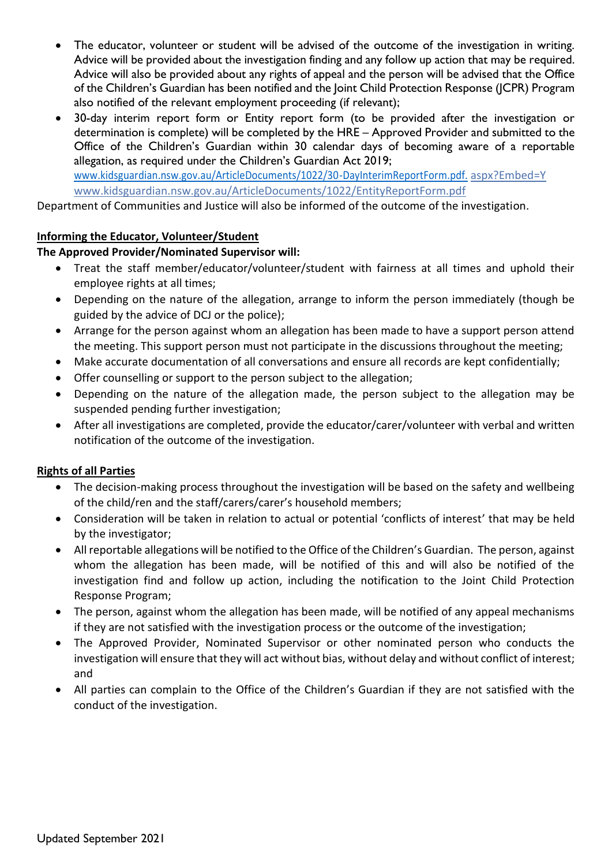- The educator, volunteer or student will be advised of the outcome of the investigation in writing. Advice will be provided about the investigation finding and any follow up action that may be required. Advice will also be provided about any rights of appeal and the person will be advised that the Office of the Children's Guardian has been notified and the Joint Child Protection Response (JCPR) Program also notified of the relevant employment proceeding (if relevant);
- 30-day interim report form or Entity report form (to be provided after the investigation or determination is complete) will be completed by the HRE – Approved Provider and submitted to the Office of the Children's Guardian within 30 calendar days of becoming aware of a reportable allegation, as required under the Children's Guardian Act 2019; [www.kidsguardian.nsw.gov.au/ArticleDocuments/1022/30-DayInterimReportForm.pdf.](http://www.kidsguardian.nsw.gov.au/ArticleDocuments/1022/30-DayInterimReportForm.pdf.) aspx?Embed=Y www.kidsguardian.nsw.gov.au/ArticleDocuments/1022/EntityReportForm.pdf

Department of Communities and Justice will also be informed of the outcome of the investigation.

#### **Informing the Educator, Volunteer/Student**

#### **The Approved Provider/Nominated Supervisor will:**

- Treat the staff member/educator/volunteer/student with fairness at all times and uphold their employee rights at all times;
- Depending on the nature of the allegation, arrange to inform the person immediately (though be guided by the advice of DCJ or the police);
- Arrange for the person against whom an allegation has been made to have a support person attend the meeting. This support person must not participate in the discussions throughout the meeting;
- Make accurate documentation of all conversations and ensure all records are kept confidentially;
- Offer counselling or support to the person subject to the allegation;
- Depending on the nature of the allegation made, the person subject to the allegation may be suspended pending further investigation;
- After all investigations are completed, provide the educator/carer/volunteer with verbal and written notification of the outcome of the investigation.

#### **Rights of all Parties**

- The decision-making process throughout the investigation will be based on the safety and wellbeing of the child/ren and the staff/carers/carer's household members;
- Consideration will be taken in relation to actual or potential 'conflicts of interest' that may be held by the investigator;
- All reportable allegations will be notified to the Office of the Children's Guardian. The person, against whom the allegation has been made, will be notified of this and will also be notified of the investigation find and follow up action, including the notification to the Joint Child Protection Response Program;
- The person, against whom the allegation has been made, will be notified of any appeal mechanisms if they are not satisfied with the investigation process or the outcome of the investigation;
- The Approved Provider, Nominated Supervisor or other nominated person who conducts the investigation will ensure that they will act without bias, without delay and without conflict of interest; and
- All parties can complain to the Office of the Children's Guardian if they are not satisfied with the conduct of the investigation.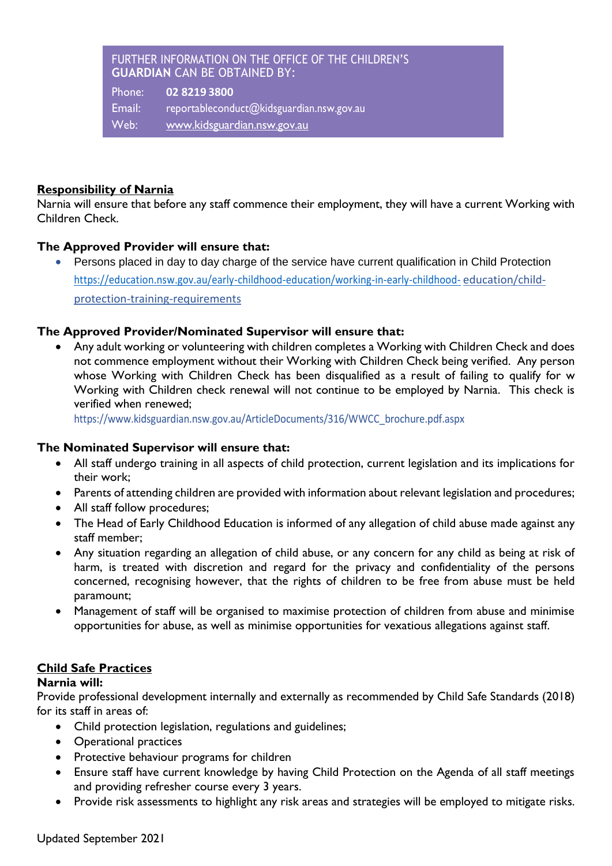#### FURTHER INFORMATION ON THE OFFICE OF THE CHILDREN'S **GUARDIAN** CAN BE OBTAINED BY:

Phone: **02 8219 3800** Email: [reportableconduct@kidsguardian.nsw.gov.au](mailto:reportableconduct@kidsguardian.nsw.gov.au) Web: [www.kidsguardian.nsw.gov.au](http://www.kidsguardian.nsw.gov.au/)

# **Responsibility of Narnia**

Narnia will ensure that before any staff commence their employment, they will have a current Working with Children Check.

#### **The Approved Provider will ensure that:**

• Persons placed in day to day charge of the service have current qualification in Child Protection <https://education.nsw.gov.au/early-childhood-education/working-in-early-childhood-> [education/child](https://education.nsw.gov.au/early-childhood-education/working-in-early-childhood-education/child-protection-training-requirements)[protection-training-requirements](https://education.nsw.gov.au/early-childhood-education/working-in-early-childhood-education/child-protection-training-requirements)

# **The Approved Provider/Nominated Supervisor will ensure that:**

• Any adult working or volunteering with children completes a Working with Children Check and does not commence employment without their Working with Children Check being verified. Any person whose Working with Children Check has been disqualified as a result of failing to qualify for w Working with Children check renewal will not continue to be employed by Narnia. This check is verified when renewed;

[https://www.kidsguardian.nsw.gov.au/ArticleDocuments/316/WWCC\\_brochure.pdf.aspx](https://www.kidsguardian.nsw.gov.au/ArticleDocuments/316/WWCC_brochure.pdf.aspx)

#### **The Nominated Supervisor will ensure that:**

- All staff undergo training in all aspects of child protection, current legislation and its implications for their work;
- Parents of attending children are provided with information about relevant legislation and procedures;
- All staff follow procedures;
- The Head of Early Childhood Education is informed of any allegation of child abuse made against any staff member;
- Any situation regarding an allegation of child abuse, or any concern for any child as being at risk of harm, is treated with discretion and regard for the privacy and confidentiality of the persons concerned, recognising however, that the rights of children to be free from abuse must be held paramount;
- Management of staff will be organised to maximise protection of children from abuse and minimise opportunities for abuse, as well as minimise opportunities for vexatious allegations against staff.

# **Child Safe Practices**

#### **Narnia will:**

Provide professional development internally and externally as recommended by Child Safe Standards (2018) for its staff in areas of:

- Child protection legislation, regulations and guidelines;
- Operational practices
- Protective behaviour programs for children
- Ensure staff have current knowledge by having Child Protection on the Agenda of all staff meetings and providing refresher course every 3 years.
- Provide risk assessments to highlight any risk areas and strategies will be employed to mitigate risks.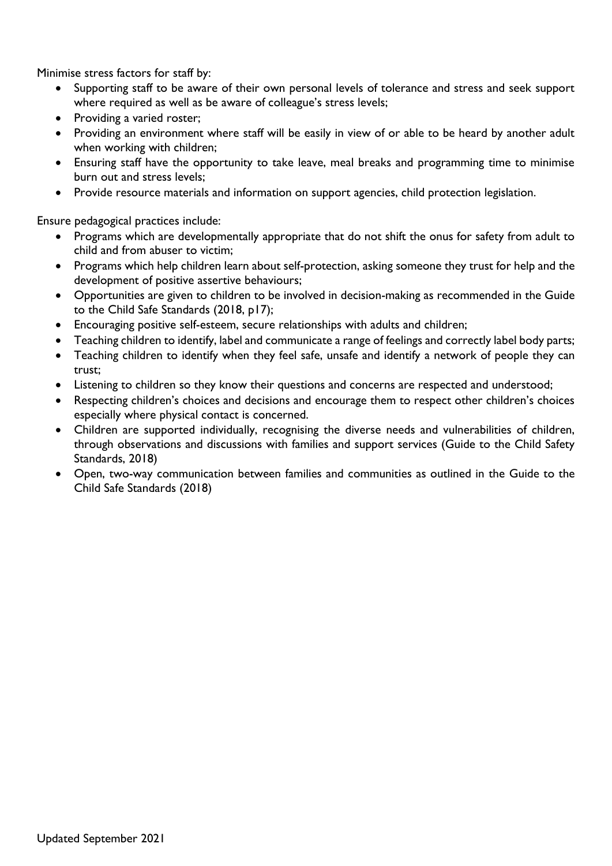Minimise stress factors for staff by:

- Supporting staff to be aware of their own personal levels of tolerance and stress and seek support where required as well as be aware of colleague's stress levels;
- Providing a varied roster;
- Providing an environment where staff will be easily in view of or able to be heard by another adult when working with children;
- Ensuring staff have the opportunity to take leave, meal breaks and programming time to minimise burn out and stress levels;
- Provide resource materials and information on support agencies, child protection legislation.

Ensure pedagogical practices include:

- Programs which are developmentally appropriate that do not shift the onus for safety from adult to child and from abuser to victim;
- Programs which help children learn about self-protection, asking someone they trust for help and the development of positive assertive behaviours;
- Opportunities are given to children to be involved in decision-making as recommended in the Guide to the Child Safe Standards (2018, p17);
- Encouraging positive self-esteem, secure relationships with adults and children;
- Teaching children to identify, label and communicate a range of feelings and correctly label body parts;
- Teaching children to identify when they feel safe, unsafe and identify a network of people they can trust;
- Listening to children so they know their questions and concerns are respected and understood;
- Respecting children's choices and decisions and encourage them to respect other children's choices especially where physical contact is concerned.
- Children are supported individually, recognising the diverse needs and vulnerabilities of children, through observations and discussions with families and support services (Guide to the Child Safety Standards, 2018)
- Open, two-way communication between families and communities as outlined in the Guide to the Child Safe Standards (2018)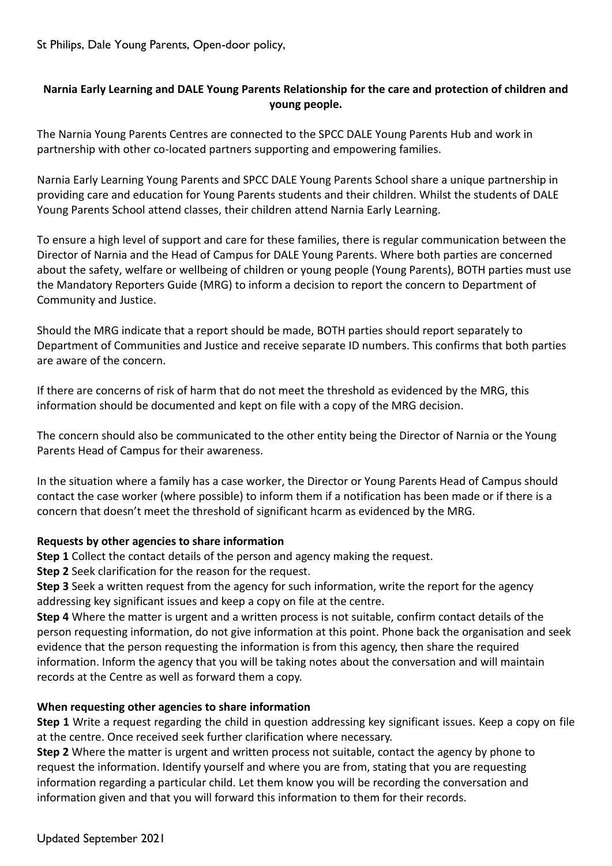St Philips, Dale Young Parents, Open-door policy,

# **Narnia Early Learning and DALE Young Parents Relationship for the care and protection of children and young people.**

The Narnia Young Parents Centres are connected to the SPCC DALE Young Parents Hub and work in partnership with other co-located partners supporting and empowering families.

Narnia Early Learning Young Parents and SPCC DALE Young Parents School share a unique partnership in providing care and education for Young Parents students and their children. Whilst the students of DALE Young Parents School attend classes, their children attend Narnia Early Learning.

To ensure a high level of support and care for these families, there is regular communication between the Director of Narnia and the Head of Campus for DALE Young Parents. Where both parties are concerned about the safety, welfare or wellbeing of children or young people (Young Parents), BOTH parties must use the Mandatory Reporters Guide (MRG) to inform a decision to report the concern to Department of Community and Justice.

Should the MRG indicate that a report should be made, BOTH parties should report separately to Department of Communities and Justice and receive separate ID numbers. This confirms that both parties are aware of the concern.

If there are concerns of risk of harm that do not meet the threshold as evidenced by the MRG, this information should be documented and kept on file with a copy of the MRG decision.

The concern should also be communicated to the other entity being the Director of Narnia or the Young Parents Head of Campus for their awareness.

In the situation where a family has a case worker, the Director or Young Parents Head of Campus should contact the case worker (where possible) to inform them if a notification has been made or if there is a concern that doesn't meet the threshold of significant hcarm as evidenced by the MRG.

#### **Requests by other agencies to share information**

**Step 1** Collect the contact details of the person and agency making the request.

**Step 2** Seek clarification for the reason for the request.

**Step 3** Seek a written request from the agency for such information, write the report for the agency addressing key significant issues and keep a copy on file at the centre.

**Step 4** Where the matter is urgent and a written process is not suitable, confirm contact details of the person requesting information, do not give information at this point. Phone back the organisation and seek evidence that the person requesting the information is from this agency, then share the required information. Inform the agency that you will be taking notes about the conversation and will maintain records at the Centre as well as forward them a copy.

#### **When requesting other agencies to share information**

**Step 1** Write a request regarding the child in question addressing key significant issues. Keep a copy on file at the centre. Once received seek further clarification where necessary.

**Step 2** Where the matter is urgent and written process not suitable, contact the agency by phone to request the information. Identify yourself and where you are from, stating that you are requesting information regarding a particular child. Let them know you will be recording the conversation and information given and that you will forward this information to them for their records.